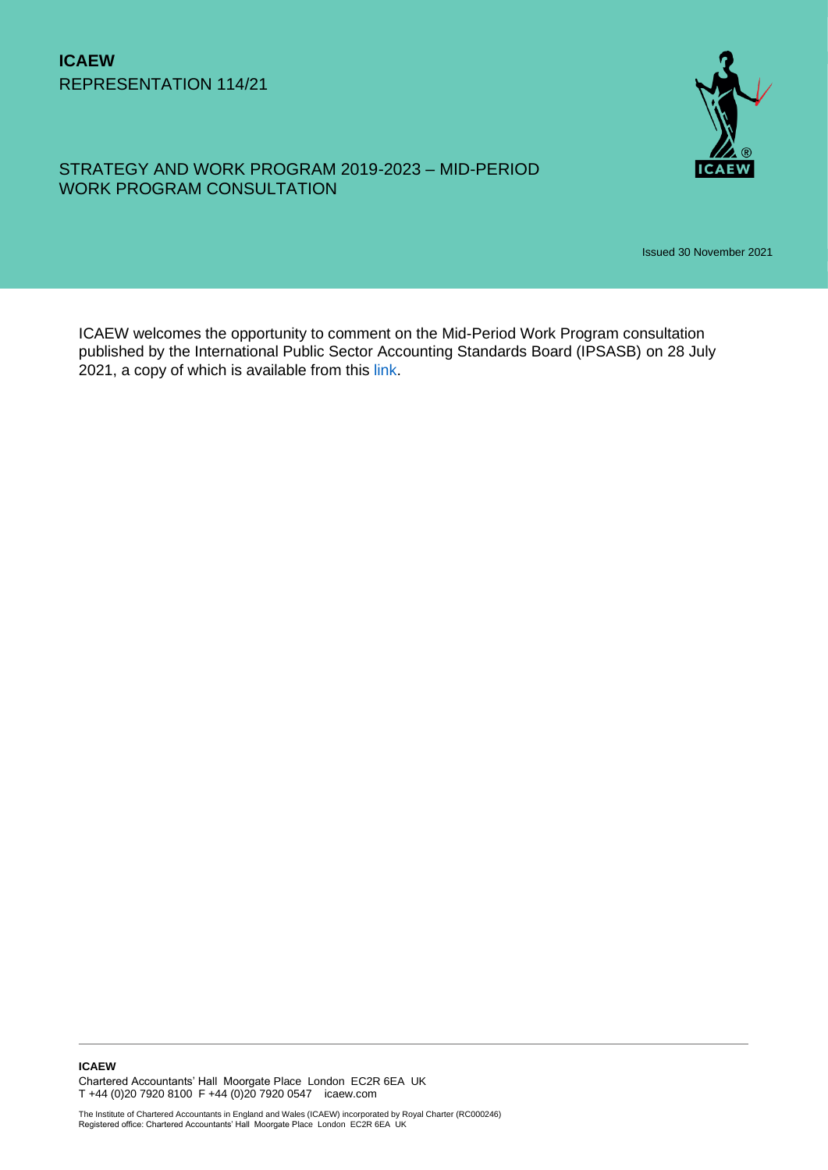

### STRATEGY AND WORK PROGRAM 2019-2023 – MID-PERIOD WORK PROGRAM CONSULTATION

Issued 30 November 2021

ICAEW welcomes the opportunity to comment on the Mid-Period Work Program consultation published by the International Public Sector Accounting Standards Board (IPSASB) on 28 July 2021, a copy of which is available from this [link.](https://www.ipsasb.org/publications/ipsasb-mid-period-work-program-consultation)

**ICAEW**  Chartered Accountants' Hall Moorgate Place London EC2R 6EA UK T +44 (0)20 7920 8100 F +44 (0)20 7920 0547 icaew.com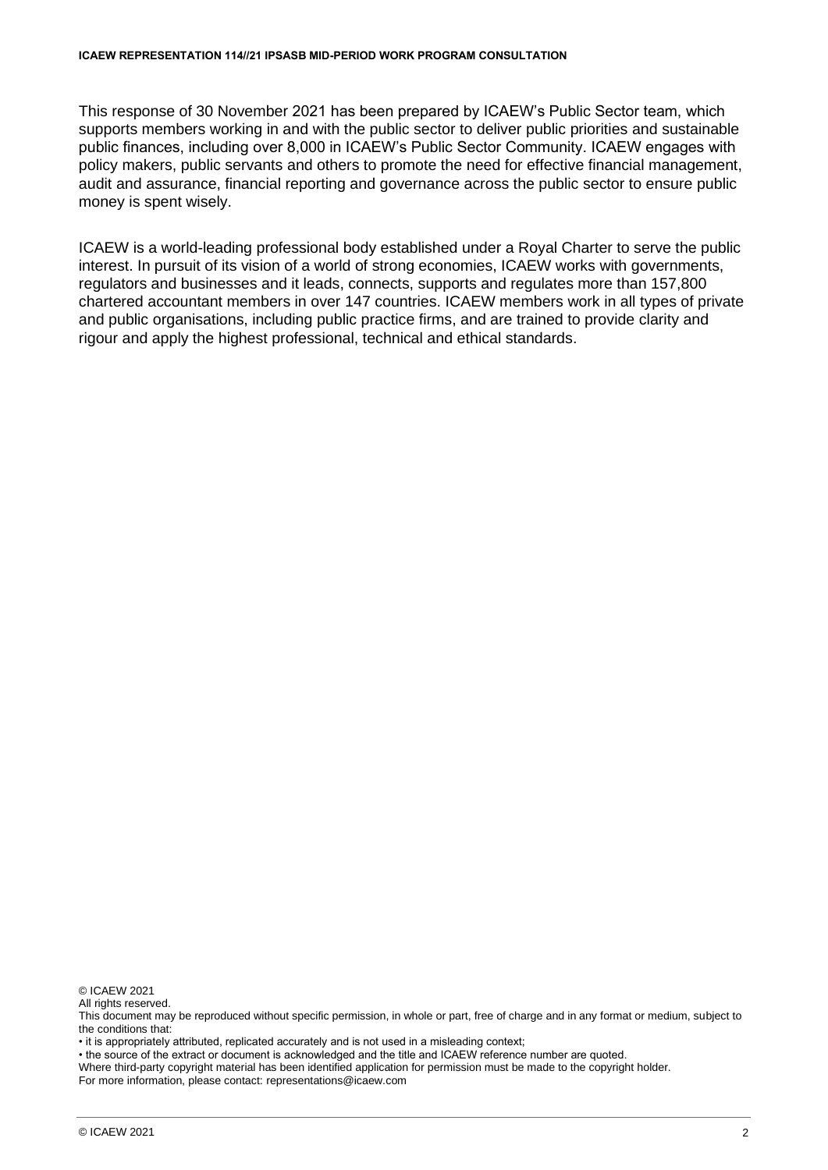This response of 30 November 2021 has been prepared by ICAEW's Public Sector team, which supports members working in and with the public sector to deliver public priorities and sustainable public finances, including over 8,000 in ICAEW's Public Sector Community. ICAEW engages with policy makers, public servants and others to promote the need for effective financial management, audit and assurance, financial reporting and governance across the public sector to ensure public money is spent wisely.

ICAEW is a world-leading professional body established under a Royal Charter to serve the public interest. In pursuit of its vision of a world of strong economies, ICAEW works with governments, regulators and businesses and it leads, connects, supports and regulates more than 157,800 chartered accountant members in over 147 countries. ICAEW members work in all types of private and public organisations, including public practice firms, and are trained to provide clarity and rigour and apply the highest professional, technical and ethical standards.

© ICAEW 2021

All rights reserved

This document may be reproduced without specific permission, in whole or part, free of charge and in any format or medium, subject to the conditions that:

• it is appropriately attributed, replicated accurately and is not used in a misleading context;

• the source of the extract or document is acknowledged and the title and ICAEW reference number are quoted.

Where third-party copyright material has been identified application for permission must be made to the copyright holder.

For more information, please contact: representations@icaew.com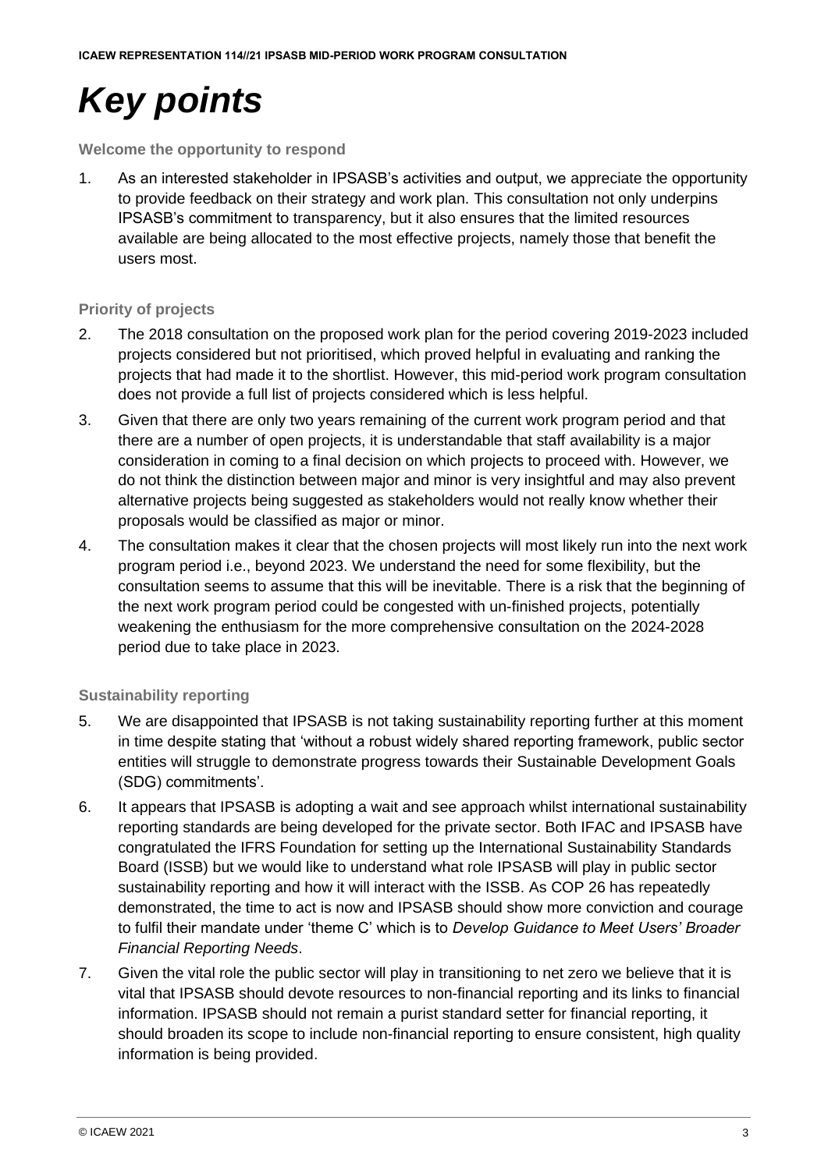# *Key points*

**Welcome the opportunity to respond**

1. As an interested stakeholder in IPSASB's activities and output, we appreciate the opportunity to provide feedback on their strategy and work plan. This consultation not only underpins IPSASB's commitment to transparency, but it also ensures that the limited resources available are being allocated to the most effective projects, namely those that benefit the users most.

### **Priority of projects**

- 2. The 2018 consultation on the proposed work plan for the period covering 2019-2023 included projects considered but not prioritised, which proved helpful in evaluating and ranking the projects that had made it to the shortlist. However, this mid-period work program consultation does not provide a full list of projects considered which is less helpful.
- 3. Given that there are only two years remaining of the current work program period and that there are a number of open projects, it is understandable that staff availability is a major consideration in coming to a final decision on which projects to proceed with. However, we do not think the distinction between major and minor is very insightful and may also prevent alternative projects being suggested as stakeholders would not really know whether their proposals would be classified as major or minor.
- 4. The consultation makes it clear that the chosen projects will most likely run into the next work program period i.e., beyond 2023. We understand the need for some flexibility, but the consultation seems to assume that this will be inevitable. There is a risk that the beginning of the next work program period could be congested with un-finished projects, potentially weakening the enthusiasm for the more comprehensive consultation on the 2024-2028 period due to take place in 2023.

### **Sustainability reporting**

- 5. We are disappointed that IPSASB is not taking sustainability reporting further at this moment in time despite stating that 'without a robust widely shared reporting framework, public sector entities will struggle to demonstrate progress towards their Sustainable Development Goals (SDG) commitments'.
- 6. It appears that IPSASB is adopting a wait and see approach whilst international sustainability reporting standards are being developed for the private sector. Both IFAC and IPSASB have congratulated the IFRS Foundation for setting up the International Sustainability Standards Board (ISSB) but we would like to understand what role IPSASB will play in public sector sustainability reporting and how it will interact with the ISSB. As COP 26 has repeatedly demonstrated, the time to act is now and IPSASB should show more conviction and courage to fulfil their mandate under 'theme C' which is to *Develop Guidance to Meet Users' Broader Financial Reporting Needs*.
- 7. Given the vital role the public sector will play in transitioning to net zero we believe that it is vital that IPSASB should devote resources to non-financial reporting and its links to financial information. IPSASB should not remain a purist standard setter for financial reporting, it should broaden its scope to include non-financial reporting to ensure consistent, high quality information is being provided.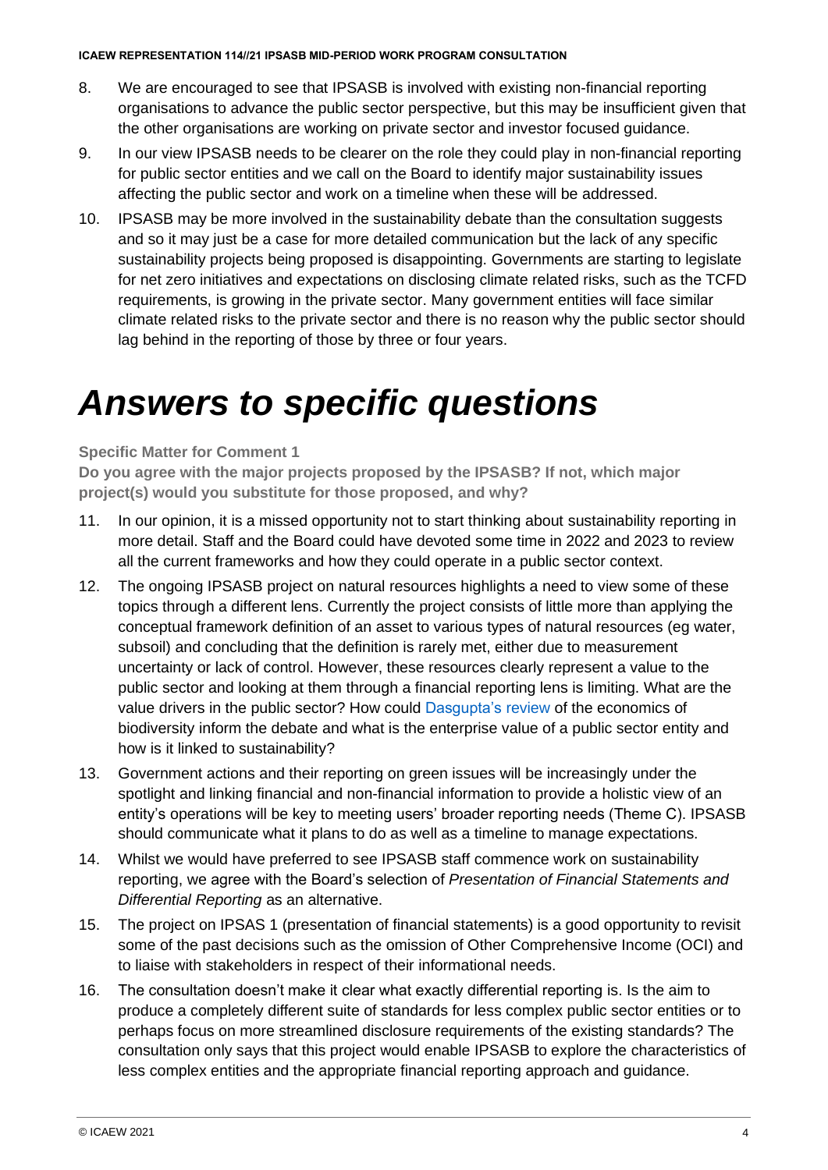- 8. We are encouraged to see that IPSASB is involved with existing non-financial reporting organisations to advance the public sector perspective, but this may be insufficient given that the other organisations are working on private sector and investor focused guidance.
- 9. In our view IPSASB needs to be clearer on the role they could play in non-financial reporting for public sector entities and we call on the Board to identify major sustainability issues affecting the public sector and work on a timeline when these will be addressed.
- 10. IPSASB may be more involved in the sustainability debate than the consultation suggests and so it may just be a case for more detailed communication but the lack of any specific sustainability projects being proposed is disappointing. Governments are starting to legislate for net zero initiatives and expectations on disclosing climate related risks, such as the TCFD requirements, is growing in the private sector. Many government entities will face similar climate related risks to the private sector and there is no reason why the public sector should lag behind in the reporting of those by three or four years.

## *Answers to specific questions*

### **Specific Matter for Comment 1**

**Do you agree with the major projects proposed by the IPSASB? If not, which major project(s) would you substitute for those proposed, and why?**

- 11. In our opinion, it is a missed opportunity not to start thinking about sustainability reporting in more detail. Staff and the Board could have devoted some time in 2022 and 2023 to review all the current frameworks and how they could operate in a public sector context.
- 12. The ongoing IPSASB project on natural resources highlights a need to view some of these topics through a different lens. Currently the project consists of little more than applying the conceptual framework definition of an asset to various types of natural resources (eg water, subsoil) and concluding that the definition is rarely met, either due to measurement uncertainty or lack of control. However, these resources clearly represent a value to the public sector and looking at them through a financial reporting lens is limiting. What are the value drivers in the public sector? How could [Dasgupta's review](https://www.gov.uk/government/collections/the-economics-of-biodiversity-the-dasgupta-review) of the economics of biodiversity inform the debate and what is the enterprise value of a public sector entity and how is it linked to sustainability?
- 13. Government actions and their reporting on green issues will be increasingly under the spotlight and linking financial and non-financial information to provide a holistic view of an entity's operations will be key to meeting users' broader reporting needs (Theme C). IPSASB should communicate what it plans to do as well as a timeline to manage expectations.
- 14. Whilst we would have preferred to see IPSASB staff commence work on sustainability reporting, we agree with the Board's selection of *Presentation of Financial Statements and Differential Reporting* as an alternative.
- 15. The project on IPSAS 1 (presentation of financial statements) is a good opportunity to revisit some of the past decisions such as the omission of Other Comprehensive Income (OCI) and to liaise with stakeholders in respect of their informational needs.
- 16. The consultation doesn't make it clear what exactly differential reporting is. Is the aim to produce a completely different suite of standards for less complex public sector entities or to perhaps focus on more streamlined disclosure requirements of the existing standards? The consultation only says that this project would enable IPSASB to explore the characteristics of less complex entities and the appropriate financial reporting approach and guidance.